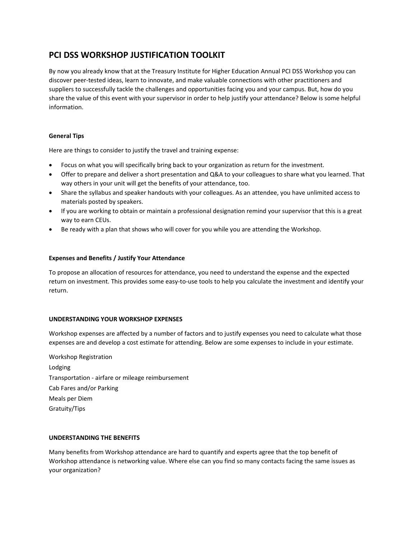# **PCI DSS WORKSHOP JUSTIFICATION TOOLKIT**

By now you already know that at the Treasury Institute for Higher Education Annual PCI DSS Workshop you can discover peer-tested ideas, learn to innovate, and make valuable connections with other practitioners and suppliers to successfully tackle the challenges and opportunities facing you and your campus. But, how do you share the value of this event with your supervisor in order to help justify your attendance? Below is some helpful information.

# **General Tips**

Here are things to consider to justify the travel and training expense:

- Focus on what you will specifically bring back to your organization as return for the investment.
- Offer to prepare and deliver a short presentation and Q&A to your colleagues to share what you learned. That way others in your unit will get the benefits of your attendance, too.
- Share the syllabus and speaker handouts with your colleagues. As an attendee, you have unlimited access to materials posted by speakers.
- If you are working to obtain or maintain a professional designation remind your supervisor that this is a great way to earn CEUs.
- Be ready with a plan that shows who will cover for you while you are attending the Workshop.

# **Expenses and Benefits / Justify Your Attendance**

To propose an allocation of resources for attendance, you need to understand the expense and the expected return on investment. This provides some easy-to-use tools to help you calculate the investment and identify your return.

## **UNDERSTANDING YOUR WORKSHOP EXPENSES**

Workshop expenses are affected by a number of factors and to justify expenses you need to calculate what those expenses are and develop a cost estimate for attending. Below are some expenses to include in your estimate.

Workshop Registration Lodging Transportation - airfare or mileage reimbursement Cab Fares and/or Parking Meals per Diem Gratuity/Tips

## **UNDERSTANDING THE BENEFITS**

Many benefits from Workshop attendance are hard to quantify and experts agree that the top benefit of Workshop attendance is networking value. Where else can you find so many contacts facing the same issues as your organization?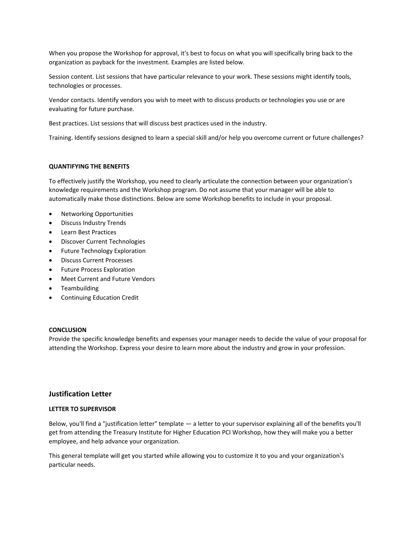When you propose the Workshop for approval, it's best to focus on what you will specifically bring back to the organization as payback for the investment. Examples are listed below.

Session content. List sessions that have particular relevance to your work. These sessions might identify tools, technologies or processes.

Vendor contacts. Identify vendors you wish to meet with to discuss products or technologies you use or are evaluating for future purchase.

Best practices. List sessions that will discuss best practices used in the industry.

Training. Identify sessions designed to learn a special skill and/or help you overcome current or future challenges?

#### **QUANTIFYING THE BENEFITS**

To effectively justify the Workshop, you need to clearly articulate the connection between your organization's knowledge requirements and the Workshop program. Do not assume that your manager will be able to automatically make those distinctions. Below are some Workshop benefits to include in your proposal.

- Networking Opportunities
- Discuss Industry Trends
- Learn Best Practices
- Discover Current Technologies
- Future Technology Exploration
- Discuss Current Processes
- Future Process Exploration
- Meet Current and Future Vendors
- Teambuilding
- Continuing Education Credit

#### **CONCLUSION**

Provide the specific knowledge benefits and expenses your manager needs to decide the value of your proposal for attending the Workshop. Express your desire to learn more about the industry and grow in your profession.

## **Justification Letter**

## **LETTER TO SUPERVISOR**

Below, you'll find a "justification letter" template — a letter to your supervisor explaining all of the benefits you'll get from attending the Treasury Institute for Higher Education PCI Workshop, how they will make you a better employee, and help advance your organization.

This general template will get you started while allowing you to customize it to you and your organization's particular needs.